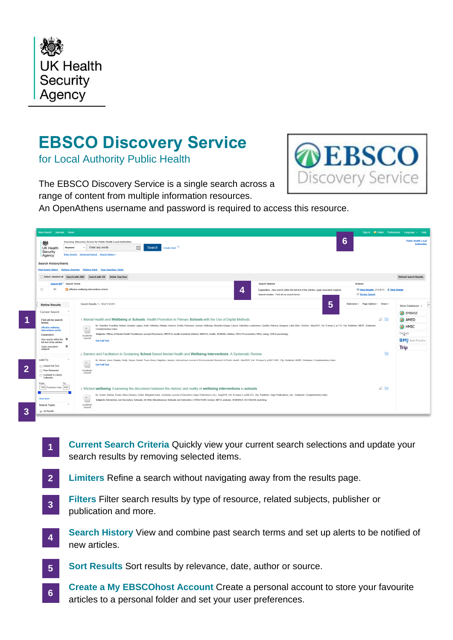

## **EBSCO Discovery Service**

for Local Authority Public Health



The EBSCO Discovery Service is a single search across a range of content from multiple information resources.

An OpenAthens username and password is required to access this resource.

| New Search Journals Home                                                                                                                                                                                                                                                                                                                   |                                                                                                                                                                                                                                                                                                                                                                                                                                                                                                                                                                                                                                                                                                                                                                                                                                                                                                                                                                                                                                                                                |                                                                                                                                                                  | Sign In <b>E</b> Folder Preferences Language - Help                                                                                                                                                                  |
|--------------------------------------------------------------------------------------------------------------------------------------------------------------------------------------------------------------------------------------------------------------------------------------------------------------------------------------------|--------------------------------------------------------------------------------------------------------------------------------------------------------------------------------------------------------------------------------------------------------------------------------------------------------------------------------------------------------------------------------------------------------------------------------------------------------------------------------------------------------------------------------------------------------------------------------------------------------------------------------------------------------------------------------------------------------------------------------------------------------------------------------------------------------------------------------------------------------------------------------------------------------------------------------------------------------------------------------------------------------------------------------------------------------------------------------|------------------------------------------------------------------------------------------------------------------------------------------------------------------|----------------------------------------------------------------------------------------------------------------------------------------------------------------------------------------------------------------------|
| 戀<br>UK Health<br>Keyword<br>Security<br>Agency                                                                                                                                                                                                                                                                                            | Searching: Discovery Service for Public Health Local Authorities<br>$\boxtimes$<br>Create Alert ?<br>Enter any words<br>Search<br>Basic Search Advanced Search Search History ~                                                                                                                                                                                                                                                                                                                                                                                                                                                                                                                                                                                                                                                                                                                                                                                                                                                                                                |                                                                                                                                                                  | 6<br><b>Public Health Local</b>                                                                                                                                                                                      |
| <b>Search History/Alerts</b>                                                                                                                                                                                                                                                                                                               | Print Search History Retrieve Searches Retrieve Alerts Save Searches / Alerts                                                                                                                                                                                                                                                                                                                                                                                                                                                                                                                                                                                                                                                                                                                                                                                                                                                                                                                                                                                                  |                                                                                                                                                                  |                                                                                                                                                                                                                      |
| Select / deselect all Search with AND                                                                                                                                                                                                                                                                                                      | Delete Searches<br>Search with OR                                                                                                                                                                                                                                                                                                                                                                                                                                                                                                                                                                                                                                                                                                                                                                                                                                                                                                                                                                                                                                              |                                                                                                                                                                  | <b>Refresh Search Results</b>                                                                                                                                                                                        |
| Search ID# <sup>*</sup> Search Terms<br>$\Box$<br>S <sub>1</sub>                                                                                                                                                                                                                                                                           | a effective wellbeing interventions school                                                                                                                                                                                                                                                                                                                                                                                                                                                                                                                                                                                                                                                                                                                                                                                                                                                                                                                                                                                                                                     | <b>Search Options</b><br>Expanders - Also search within the full text of the articles; Apply equivalent subjects<br>4<br>Search modes - Find all my search terms | Actions<br>Wiew Results (112,911) <b>J</b> View Details<br>Revise Search                                                                                                                                             |
| <b>Refine Results</b><br><b>Current Search</b><br>Find all my search<br>terms:<br>effective wellbeing<br>interventions school<br>Expanders<br>Also search within the E<br>full text of the articles<br>$\mathbf{a}$<br>Apply equivalent<br>subjects<br>Limit To<br>Linked Full Text<br>Peer Reviewed<br>Available in Library<br>Collection | Search Results: 1 - 10 of 112.911<br>1. Mental Health and Wellbeing at Schools: Health Promotion in Primary Schools with the Use of Digital Methods.<br>By: Sakellari, Evanthia; Notara, Venetia; Lagiou, Areti; Fatkulina, Natalja; Ivanova, Svetla; Korhonen, Joonas; Velikonja, Nevenka Kregar; Lalova, Valentina; Laaksonen, Camilla; Petrova, Gergana; Lahti, Mari. Children, May<br>信<br>Complementary Index<br>Subjects: Offices of Mental Health Practitioners (except Physicians); MENTAL health of school children; MENTAL health; SCHOOL children; HEALTH promotion; WELL-being; CHILD psychology<br>Academic<br>Journal<br><b>Get Full Text</b><br>2. Barriers and Facilitators to Sustaining School-Based Mental Health and Wellbeing Interventions: A Systematic Review.<br>By: Moore, Anna; Stapley, Emily; Hayes, Daniel; Town, Rosa; Deighton, Jessica. International Journal of Environmental Research & Public Health , Mar2022, Vol. 19 Issue 6, p3587-3587, 23p. Publisher: MDPI., Database: Comple<br>166<br><b>Get Full Text</b><br>Academic<br>Journal | 5                                                                                                                                                                | Relevance + Page Options + Share +<br>More Databases +<br>EMBASE<br>$\overline{\mathbf{p}}$ $\overline{\mathbf{e}}$<br>$\bullet$ AMED<br>$\bigoplus$ HMIC<br>ProQuest<br><b>BM</b> Best Practice<br><b>Trip</b><br>ि |
| To<br>From:<br>1890 Publication Date 2022<br><b>Show More</b><br>Source Types<br>M All Results                                                                                                                                                                                                                                             | 3. Wicked wellbeing: Examining the disconnect between the rhetoric and reality of wellbeing interventions in schools.<br>By: Svane, Denise; Evans, Neus (Snowy); Carler, Margaret-Anne. Australian Journal of Education (Sage Publications Ltd.), Aug2019, Vol. 63 Issue 2, p209-231, 23p. Publisher: Sage Publications, Ltd, Database: Complementar<br>G<br>Subjects: Elementary and Secondary Schools; All Other Miscellaneous Schools and Instruction; LITERATURE reviews; META-analysis; SCHOOLS; DATABASE searching<br>١Ħ<br>Academic<br>Journal                                                                                                                                                                                                                                                                                                                                                                                                                                                                                                                          |                                                                                                                                                                  | $\circ$ $\circ$                                                                                                                                                                                                      |

- **Current Search Criteria** Quickly view your current search selections and update your search results by removing selected items. **1**
- **Limiters** Refine a search without navigating away from the results page. **2**
- **Filters** Filter search results by type of resource, related subjects, publisher or publication and more. **3**
- **Search History** View and combine past search terms and set up alerts to be notified of new articles. **4**
- **Sort Results** Sort results by relevance, date, author or source. **5**
- **Create a My EBSCOhost Account** Create a personal account to store your favourite articles to a personal folder and set your user preferences. **6**